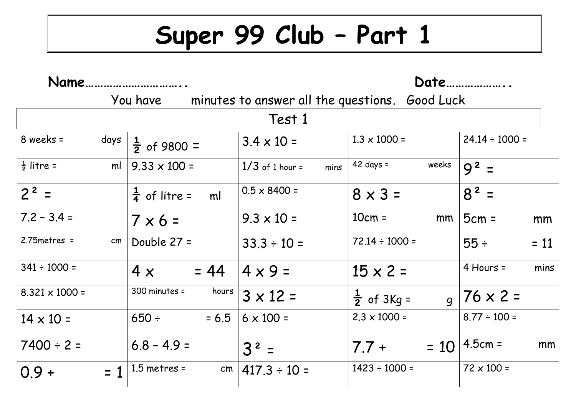## **Super 99 Club – Part 1**

| Name.                 |       |                                            | Date                      |                                                |                     |  |  |
|-----------------------|-------|--------------------------------------------|---------------------------|------------------------------------------------|---------------------|--|--|
|                       |       | You have                                   |                           | minutes to answer all the questions. Good Luck |                     |  |  |
| Test 1                |       |                                            |                           |                                                |                     |  |  |
| 8 weeks =             | days  | $\frac{1}{2}$ of 9800 =                    | $3.4 \times 10 =$         | $1.3 \times 1000 =$                            | $24.14 \div 1000 =$ |  |  |
| $\frac{1}{2}$ litre = | ml    | $9.33 \times 100 =$                        | $1/3$ of 1 hour =<br>mins | $42 \text{ days} =$<br>weeks                   | $9^2$ =             |  |  |
| $2^2$ =               |       | $\frac{1}{4}$ of litre =<br>m <sup>1</sup> | $0.5 \times 8400 =$       | $8 \times 3 =$                                 | $8^2$ =             |  |  |
| $7.2 - 3.4 =$         |       | $7 \times 6 =$                             | $9.3 \times 10 =$         | $10cm =$<br>mm                                 | $5cm =$<br>mm       |  |  |
| $2.75$ metres =       | cm    | Double 27 =                                | $33.3 \div 10 =$          | $72.14 \div 1000 =$                            | $55 \div$<br>$= 11$ |  |  |
| $341 \div 1000 =$     |       | $= 44$<br>4x                               | $4 \times 9 =$            | $15 \times 2 =$                                | 4 Hours =<br>mins   |  |  |
| $8.321 \times 1000 =$ |       | $300$ minutes =<br>hours                   | $3 \times 12 =$           | $\frac{1}{2}$ of 3Kg =                         | $g$   76 x 2 =      |  |  |
| $14 \times 10 =$      |       | $650 \div$<br>$= 6.5$                      | $6 \times 100 =$          | $2.3 \times 1000 =$                            | $8.77 \div 100 =$   |  |  |
| $7400 \div 2 =$       |       | $6.8 - 4.9 =$                              | $3^2$ =                   | $= 10$<br>$7.7 +$                              | $4.5cm =$<br>mm     |  |  |
| $0.9 +$               | $= 1$ | $1.5$ metres =<br>cm <sub>1</sub>          | $417.3 \div 10 =$         | $1423 \div 1000 =$                             | $72 \times 100 =$   |  |  |